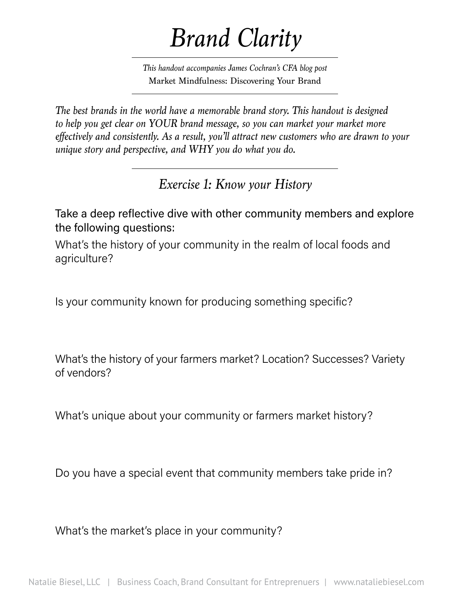# *Brand Clarity*

*This handout accompanies James Cochran's CFA blog post*  Market Mindfulness: Discovering Your Brand

*The best brands in the world have a memorable brand story. This handout is designed to help you get clear on YOUR brand message, so you can market your market more effectively and consistently. As a result, you'll attract new customers who are drawn to your unique story and perspective, and WHY you do what you do.*

*Exercise 1: Know your History*

Take a deep reflective dive with other community members and explore the following questions:

What's the history of your community in the realm of local foods and agriculture?

Is your community known for producing something specific?

What's the history of your farmers market? Location? Successes? Variety of vendors?

What's unique about your community or farmers market history?

Do you have a special event that community members take pride in?

What's the market's place in your community?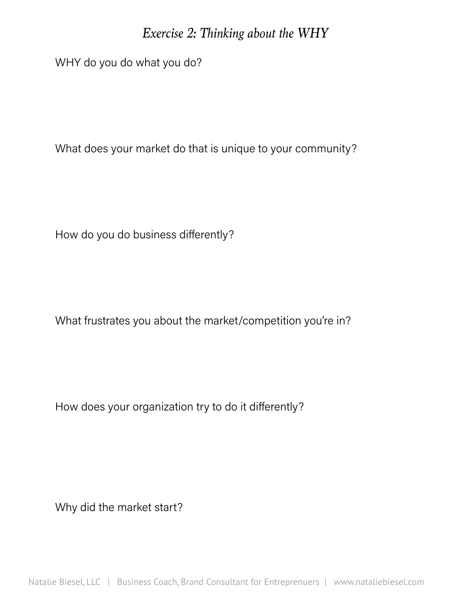### *Exercise 2: Thinking about the WHY*

WHY do you do what you do?

What does your market do that is unique to your community?

How do you do business differently?

What frustrates you about the market/competition you're in?

How does your organization try to do it differently?

Why did the market start?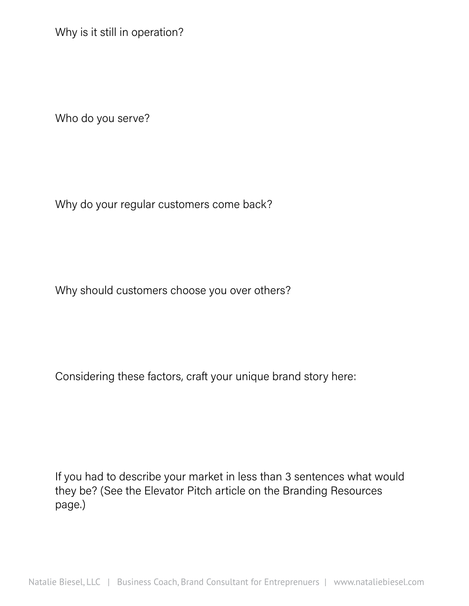Why is it still in operation?

Who do you serve?

Why do your regular customers come back?

Why should customers choose you over others?

Considering these factors, craft your unique brand story here:

If you had to describe your market in less than 3 sentences what would they be? (See the Elevator Pitch article on the Branding Resources page.)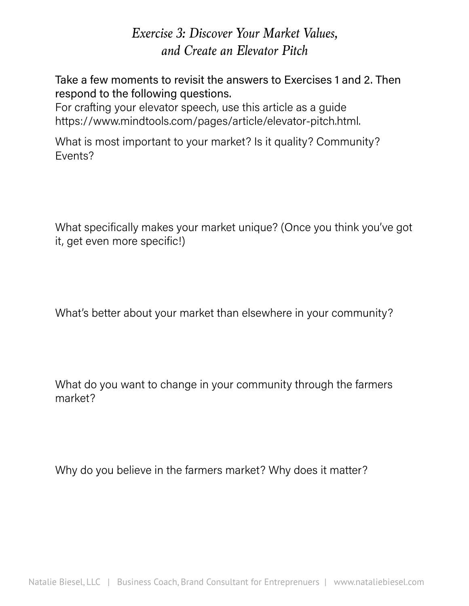## *Exercise 3: Discover Your Market Values, and Create an Elevator Pitch*

Take a few moments to revisit the answers to Exercises 1 and 2. Then respond to the following questions.

For crafting your elevator speech, use this article as a guide https://www.mindtools.com/pages/article/elevator-pitch.html.

What is most important to your market? Is it quality? Community? Events?

What specifically makes your market unique? (Once you think you've got it, get even more specific!)

What's better about your market than elsewhere in your community?

What do you want to change in your community through the farmers market?

Why do you believe in the farmers market? Why does it matter?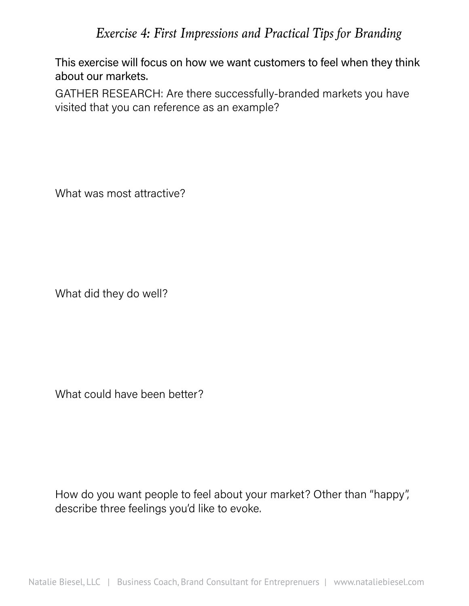## *Exercise 4: First Impressions and Practical Tips for Branding*

This exercise will focus on how we want customers to feel when they think about our markets.

GATHER RESEARCH: Are there successfully-branded markets you have visited that you can reference as an example?

What was most attractive?

What did they do well?

What could have been better?

How do you want people to feel about your market? Other than "happy", describe three feelings you'd like to evoke.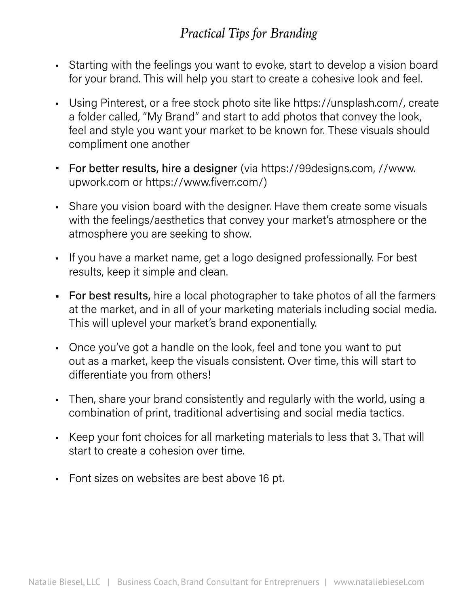# *Practical Tips for Branding*

- Starting with the feelings you want to evoke, start to develop a vision board for your brand. This will help you start to create a cohesive look and feel.
- • Using Pinterest, or a free stock photo site like https://unsplash.com/, create a folder called, "My Brand" and start to add photos that convey the look, feel and style you want your market to be known for. These visuals should compliment one another
- For better results, hire a designer (via https://99designs.com, //www. upwork.com or https://www.fiverr.com/)
- Share you vision board with the designer. Have them create some visuals with the feelings/aesthetics that convey your market's atmosphere or the atmosphere you are seeking to show.
- If you have a market name, get a logo designed professionally. For best results, keep it simple and clean.
- For best results, hire a local photographer to take photos of all the farmers at the market, and in all of your marketing materials including social media. This will uplevel your market's brand exponentially.
- Once you've got a handle on the look, feel and tone you want to put out as a market, keep the visuals consistent. Over time, this will start to differentiate you from others!
- Then, share your brand consistently and regularly with the world, using a combination of print, traditional advertising and social media tactics.
- • Keep your font choices for all marketing materials to less that 3. That will start to create a cohesion over time.
- Font sizes on websites are best above 16 pt.